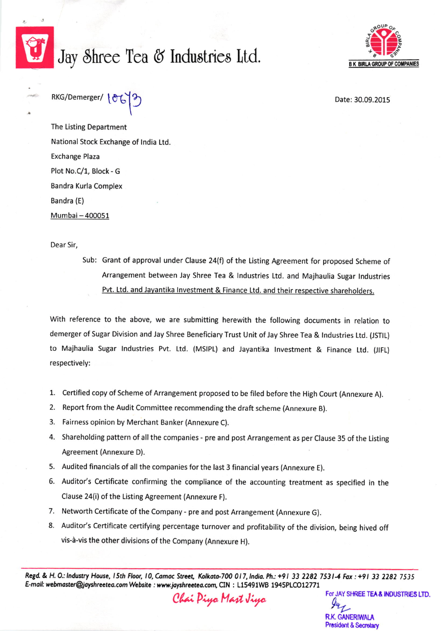

## Jay Shree Tea & Industries Ltd.



 $RKG/Demerger/ \{ \mathcal{O} \leftarrow \}$  and  $Date: 30.09.2015$ 

The Listing Department National Stock Exchange of India Ltd. Exchange Plaza Plot No.C/1, Block - G Bandra Kurla Complex Bandra (E) Mumbai - 400051

Dear Sir,

Sub: Grant of approval under Clause 24(f) of the Listing Agreement for proposed Scheme of Arrangement between Jay Shree Tea & Industries Ltd. and Majhaulia Sugar Industries Pvt. Ltd. and Javantika Investment & Finance Ltd. and their respective shareholders.

with reference to the above, we are submitting herewith the following documents in relation to demerger of Sugar Division and Jay Shree Beneficiary Trust Unit of Jay Shree Tea & Industries Ltd. (JSTIL) to Majhaulia Sugar Industries Pvt. Ltd. (MSIPL) and Jayantika Investment & Finance Ltd. (JIFL) respectively:

- 1. certified copy of scheme of Arrangement proposed to be filed before the High court (Annexure A).
- 2. Report from the Audit Committee recommending the draft scheme (Annexure B).
- 3. Fairness opinion by Merchant Banker (Annexure C).
- 4. Shareholding pattern of all the companies pre and post Arrangement as per Clause 35 of the listing Agreement (Annexure D).
- 5. Audited financials of all the companies for the last 3 financial years (Annexure E).
- 6. Auditor's Certificate confirming the compliance of the accounting treatment as specified in the Clause 24(i) of the listing Agreement (Annexure F).
- 7. Networth Certificate of the Company pre and post Arrangement (Annexure G).
- 8. Auditor's Certificate certifying percentage turnover and profitability of the division, being hived off vis-d-vis the other divisions of the Company (Annexure H).

Regd. & H. O.: Industry House, 15th Floor, 10, Camac Street, Kolkata-700 017, India. Ph.: +91 33 2282 7531-4 Fax: +91 33 2282 7535 E-mail: webmaster@jayshreetea.com Website : www.jayshreetea.com, CIN : L15491WB 1945PLCO12771

Chai Piya Mart Jiya

For JAY SHREE TEA & INDUSTRIES LTD.  $9u_{\mathcal{L}}$ R.K. GANERIWALA President & Secretary